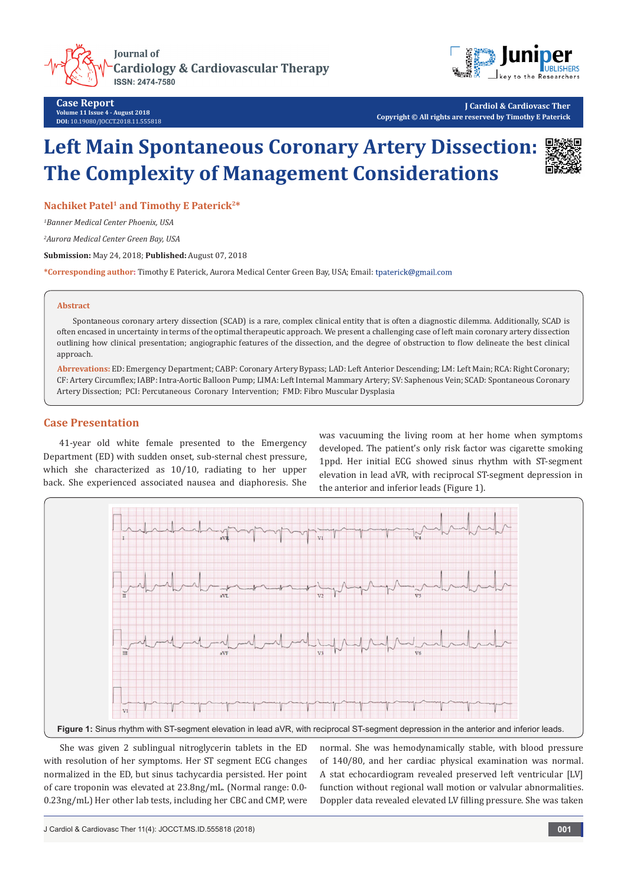**Journal of Cardiology & Cardiovascular Therapy ISSN: 2474-7580** 



**Case Report Volume 11 Issue 4 - August 2018 DOI:** [10.19080/JOCCT.2018.11.555818](http://dx.doi.org/10.19080/JOCCT.2018.11.555818)

**J Cardiol & Cardiovasc Ther Copyright © All rights are reserved by Timothy E Paterick**

# **Left Main Spontaneous Coronary Artery Dissection: The Complexity of Management Considerations**

Nachiket Patel<sup>1</sup> and Timothy E Paterick<sup>2\*</sup>

*1 Banner Medical Center Phoenix, USA*

*2 Aurora Medical Center Green Bay, USA*

**Submission:** May 24, 2018; **Published:** August 07, 2018

**\*Corresponding author:** Timothy E Paterick, Aurora Medical Center Green Bay, USA; Email:

#### **Abstract**

Spontaneous coronary artery dissection (SCAD) is a rare, complex clinical entity that is often a diagnostic dilemma. Additionally, SCAD is often encased in uncertainty in terms of the optimal therapeutic approach. We present a challenging case of left main coronary artery dissection outlining how clinical presentation; angiographic features of the dissection, and the degree of obstruction to flow delineate the best clinical approach.

**Abrrevations:** ED: Emergency Department; CABP: Coronary Artery Bypass; LAD: Left Anterior Descending; LM: Left Main; RCA: Right Coronary; CF: Artery Circumflex; IABP: Intra-Aortic Balloon Pump; LIMA: Left Internal Mammary Artery; SV: Saphenous Vein; SCAD: Spontaneous Coronary Artery Dissection; PCI: Percutaneous Coronary Intervention; FMD: Fibro Muscular Dysplasia

## **Case Presentation**

41-year old white female presented to the Emergency Department (ED) with sudden onset, sub-sternal chest pressure, which she characterized as 10/10, radiating to her upper back. She experienced associated nausea and diaphoresis. She

was vacuuming the living room at her home when symptoms developed. The patient's only risk factor was cigarette smoking 1ppd. Her initial ECG showed sinus rhythm with ST-segment elevation in lead aVR, with reciprocal ST-segment depression in the anterior and inferior leads (Figure 1).



She was given 2 sublingual nitroglycerin tablets in the ED with resolution of her symptoms. Her ST segment ECG changes normalized in the ED, but sinus tachycardia persisted. Her point of care troponin was elevated at 23.8ng/mL. (Normal range: 0.0- 0.23ng/mL) Her other lab tests, including her CBC and CMP, were

normal. She was hemodynamically stable, with blood pressure of 140/80, and her cardiac physical examination was normal. A stat echocardiogram revealed preserved left ventricular [LV] function without regional wall motion or valvular abnormalities. Doppler data revealed elevated LV filling pressure. She was taken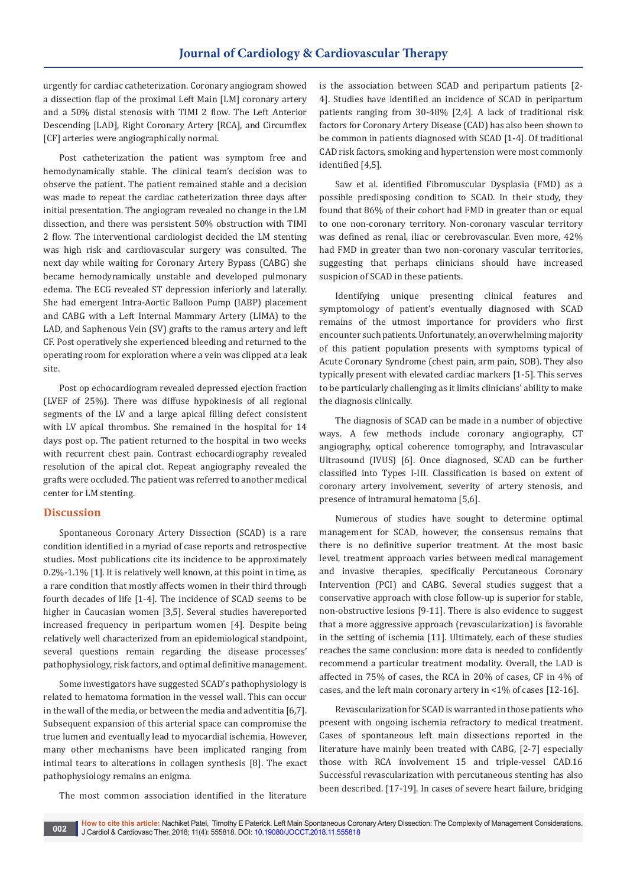urgently for cardiac catheterization. Coronary angiogram showed a dissection flap of the proximal Left Main [LM] coronary artery and a 50% distal stenosis with TIMI 2 flow. The Left Anterior Descending [LAD], Right Coronary Artery [RCA], and Circumflex [CF] arteries were angiographically normal.

Post catheterization the patient was symptom free and hemodynamically stable. The clinical team's decision was to observe the patient. The patient remained stable and a decision was made to repeat the cardiac catheterization three days after initial presentation. The angiogram revealed no change in the LM dissection, and there was persistent 50% obstruction with TIMI 2 flow. The interventional cardiologist decided the LM stenting was high risk and cardiovascular surgery was consulted. The next day while waiting for Coronary Artery Bypass (CABG) she became hemodynamically unstable and developed pulmonary edema. The ECG revealed ST depression inferiorly and laterally. She had emergent Intra-Aortic Balloon Pump (IABP) placement and CABG with a Left Internal Mammary Artery (LIMA) to the LAD, and Saphenous Vein (SV) grafts to the ramus artery and left CF. Post operatively she experienced bleeding and returned to the operating room for exploration where a vein was clipped at a leak site.

Post op echocardiogram revealed depressed ejection fraction (LVEF of 25%). There was diffuse hypokinesis of all regional segments of the LV and a large apical filling defect consistent with LV apical thrombus. She remained in the hospital for 14 days post op. The patient returned to the hospital in two weeks with recurrent chest pain. Contrast echocardiography revealed resolution of the apical clot. Repeat angiography revealed the grafts were occluded. The patient was referred to another medical center for LM stenting.

### **Discussion**

Spontaneous Coronary Artery Dissection (SCAD) is a rare condition identified in a myriad of case reports and retrospective studies. Most publications cite its incidence to be approximately 0.2%-1.1% [1]. It is relatively well known, at this point in time, as a rare condition that mostly affects women in their third through fourth decades of life [1-4]. The incidence of SCAD seems to be higher in Caucasian women [3,5]. Several studies havereported increased frequency in peripartum women [4]. Despite being relatively well characterized from an epidemiological standpoint, several questions remain regarding the disease processes' pathophysiology, risk factors, and optimal definitive management.

Some investigators have suggested SCAD's pathophysiology is related to hematoma formation in the vessel wall. This can occur in the wall of the media, or between the media and adventitia [6,7]. Subsequent expansion of this arterial space can compromise the true lumen and eventually lead to myocardial ischemia. However, many other mechanisms have been implicated ranging from intimal tears to alterations in collagen synthesis [8]. The exact pathophysiology remains an enigma.

The most common association identified in the literature

is the association between SCAD and peripartum patients [2- 4]. Studies have identified an incidence of SCAD in peripartum patients ranging from 30-48% [2,4]. A lack of traditional risk factors for Coronary Artery Disease (CAD) has also been shown to be common in patients diagnosed with SCAD [1-4]. Of traditional CAD risk factors, smoking and hypertension were most commonly identified [4,5].

Saw et al. identified Fibromuscular Dysplasia (FMD) as a possible predisposing condition to SCAD. In their study, they found that 86% of their cohort had FMD in greater than or equal to one non-coronary territory. Non-coronary vascular territory was defined as renal, iliac or cerebrovascular. Even more, 42% had FMD in greater than two non-coronary vascular territories, suggesting that perhaps clinicians should have increased suspicion of SCAD in these patients.

Identifying unique presenting clinical features and symptomology of patient's eventually diagnosed with SCAD remains of the utmost importance for providers who first encounter such patients. Unfortunately, an overwhelming majority of this patient population presents with symptoms typical of Acute Coronary Syndrome (chest pain, arm pain, SOB). They also typically present with elevated cardiac markers [1-5]. This serves to be particularly challenging as it limits clinicians' ability to make the diagnosis clinically.

The diagnosis of SCAD can be made in a number of objective ways. A few methods include coronary angiography, CT angiography, optical coherence tomography, and Intravascular Ultrasound (IVUS) [6]. Once diagnosed, SCAD can be further classified into Types I-III. Classification is based on extent of coronary artery involvement, severity of artery stenosis, and presence of intramural hematoma [5,6].

Numerous of studies have sought to determine optimal management for SCAD, however, the consensus remains that there is no definitive superior treatment. At the most basic level, treatment approach varies between medical management and invasive therapies, specifically Percutaneous Coronary Intervention (PCI) and CABG. Several studies suggest that a conservative approach with close follow-up is superior for stable, non-obstructive lesions [9-11]. There is also evidence to suggest that a more aggressive approach (revascularization) is favorable in the setting of ischemia [11]. Ultimately, each of these studies reaches the same conclusion: more data is needed to confidently recommend a particular treatment modality. Overall, the LAD is affected in 75% of cases, the RCA in 20% of cases, CF in 4% of cases, and the left main coronary artery in <1% of cases [12-16].

Revascularization for SCAD is warranted in those patients who present with ongoing ischemia refractory to medical treatment. Cases of spontaneous left main dissections reported in the literature have mainly been treated with CABG, [2-7] especially those with RCA involvement 15 and triple-vessel CAD.16 Successful revascularization with percutaneous stenting has also been described. [17-19]. In cases of severe heart failure, bridging